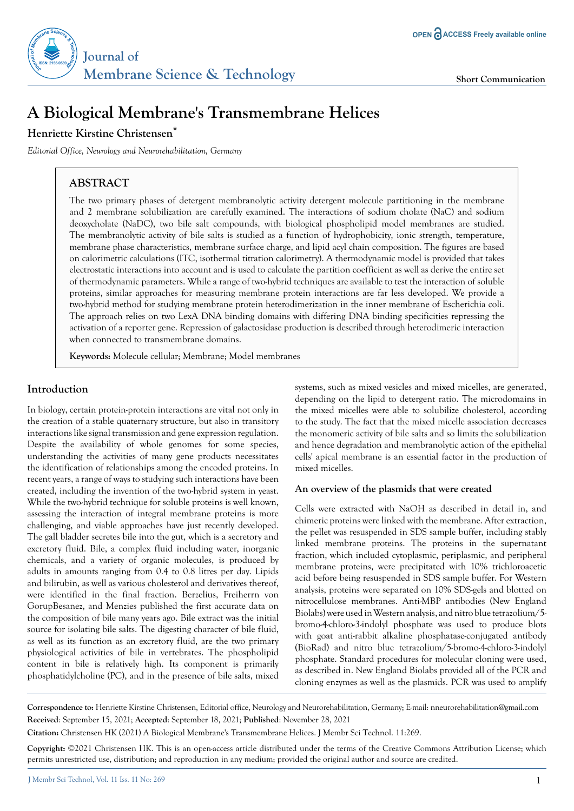

# **A Biological Membrane's Transmembrane Helices**

## **Henriette Kirstine Christensen\***

*Editorial Office, Neurology and Neurorehabilitation, Germany* 

# **ABSTRACT**

The two primary phases of detergent membranolytic activity detergent molecule partitioning in the membrane and 2 membrane solubilization are carefully examined. The interactions of sodium cholate (NaC) and sodium deoxycholate (NaDC), two bile salt compounds, with biological phospholipid model membranes are studied. The membranolytic activity of bile salts is studied as a function of hydrophobicity, ionic strength, temperature, membrane phase characteristics, membrane surface charge, and lipid acyl chain composition. The figures are based on calorimetric calculations (ITC, isothermal titration calorimetry). A thermodynamic model is provided that takes electrostatic interactions into account and is used to calculate the partition coefficient as well as derive the entire set of thermodynamic parameters. While a range of two-hybrid techniques are available to test the interaction of soluble proteins, similar approaches for measuring membrane protein interactions are far less developed. We provide a two-hybrid method for studying membrane protein heterodimerization in the inner membrane of Escherichia coli. The approach relies on two LexA DNA binding domains with differing DNA binding specificities repressing the activation of a reporter gene. Repression of galactosidase production is described through heterodimeric interaction when connected to transmembrane domains.

**Keywords:** Molecule cellular; Membrane; Model membranes

### **Introduction**

In biology, certain protein-protein interactions are vital not only in the creation of a stable quaternary structure, but also in transitory interactions like signal transmission and gene expression regulation. Despite the availability of whole genomes for some species, understanding the activities of many gene products necessitates the identification of relationships among the encoded proteins. In recent years, a range of ways to studying such interactions have been created, including the invention of the two-hybrid system in yeast. While the two-hybrid technique for soluble proteins is well known, assessing the interaction of integral membrane proteins is more challenging, and viable approaches have just recently developed. The gall bladder secretes bile into the gut, which is a secretory and excretory fluid. Bile, a complex fluid including water, inorganic chemicals, and a variety of organic molecules, is produced by adults in amounts ranging from 0.4 to 0.8 litres per day. Lipids and bilirubin, as well as various cholesterol and derivatives thereof, were identified in the final fraction. Berzelius, Freiherrn von GorupBesanez, and Menzies published the first accurate data on the composition of bile many years ago. Bile extract was the initial source for isolating bile salts. The digesting character of bile fluid, as well as its function as an excretory fluid, are the two primary physiological activities of bile in vertebrates. The phospholipid content in bile is relatively high. Its component is primarily phosphatidylcholine (PC), and in the presence of bile salts, mixed systems, such as mixed vesicles and mixed micelles, are generated, depending on the lipid to detergent ratio. The microdomains in the mixed micelles were able to solubilize cholesterol, according to the study. The fact that the mixed micelle association decreases the monomeric activity of bile salts and so limits the solubilization and hence degradation and membranolytic action of the epithelial cells' apical membrane is an essential factor in the production of mixed micelles.

#### **An overview of the plasmids that were created**

Cells were extracted with NaOH as described in detail in, and chimeric proteins were linked with the membrane. After extraction, the pellet was resuspended in SDS sample buffer, including stably linked membrane proteins. The proteins in the supernatant fraction, which included cytoplasmic, periplasmic, and peripheral membrane proteins, were precipitated with 10% trichloroacetic acid before being resuspended in SDS sample buffer. For Western analysis, proteins were separated on 10% SDS-gels and blotted on nitrocellulose membranes. Anti-MBP antibodies (New England Biolabs) were used in Western analysis, and nitro blue tetrazolium/5 bromo-4-chloro-3-indolyl phosphate was used to produce blots with goat anti-rabbit alkaline phosphatase-conjugated antibody (BioRad) and nitro blue tetrazolium/5-bromo-4-chloro-3-indolyl phosphate. Standard procedures for molecular cloning were used, as described in. New England Biolabs provided all of the PCR and cloning enzymes as well as the plasmids. PCR was used to amplify

**Correspondence to:** Henriette Kirstine Christensen, Editorial office, Neurology and Neurorehabilitation, Germany; E-mail: nneurorehabilitation@gmail.com **Received**: September 15, 2021; **Accepted**: September 18, 2021; **Published**: November 28, 2021

**Citation:** Christensen HK (2021) A Biological Membrane's Transmembrane Helices. J Membr Sci Technol. 11:269.

**Copyright:** ©2021 Christensen HK. This is an open-access article distributed under the terms of the Creative Commons Attribution License; which permits unrestricted use, distribution; and reproduction in any medium; provided the original author and source are credited.